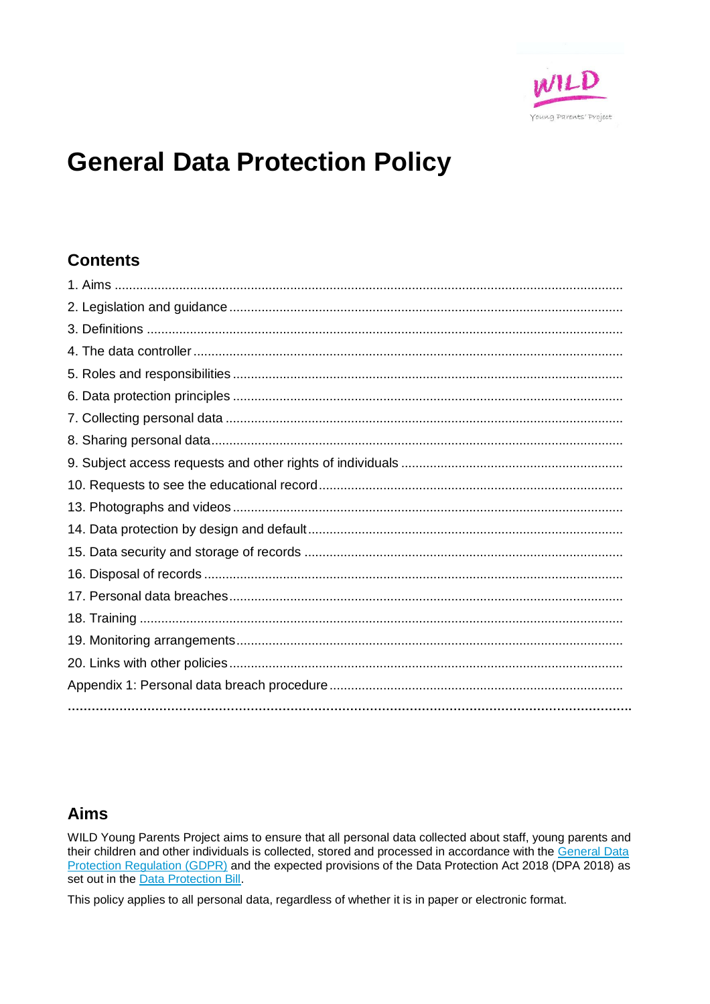

# **General Data Protection Policy**

### **Contents**

### **Aims**

WILD Young Parents Project aims to ensure that all personal data collected about staff, young parents and their children and other individuals is collected, stored and processed in accordance with the General Data Protection Regulation (GDPR) and the expected provisions of the Data Protection Act 2018 (DPA 2018) as set out in the Data Protection Bill.

This policy applies to all personal data, regardless of whether it is in paper or electronic format.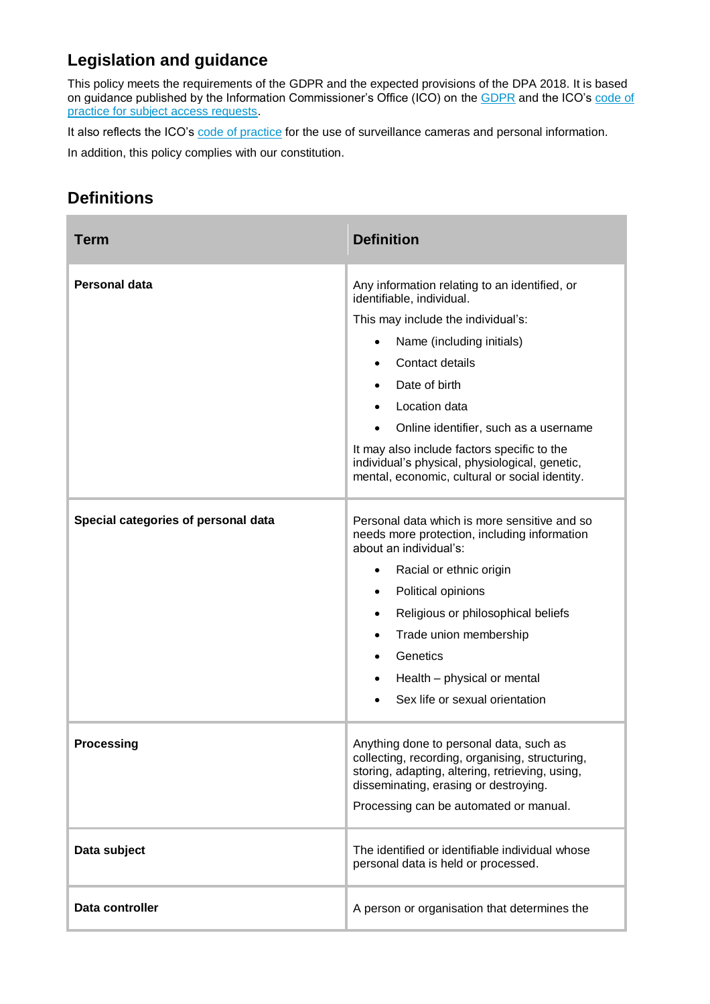### **Legislation and guidance**

This policy meets the requirements of the GDPR and the expected provisions of the DPA 2018. It is based on guidance published by the Information Commissioner's Office (ICO) on the [GDPR](https://ico.org.uk/for-organisations/guide-to-the-general-data-protection-regulation-gdpr/individual-rights/right-to-be-informed/) and the ICO's [code of](https://ico.org.uk/media/for-organisations/documents/2014223/subject-access-code-of-practice.pdf)  [practice for subject access requests.](https://ico.org.uk/media/for-organisations/documents/2014223/subject-access-code-of-practice.pdf)

It also reflects the ICO's [code of practice](https://ico.org.uk/media/for-organisations/documents/1542/cctv-code-of-practice.pdf) for the use of surveillance cameras and personal information.

In addition, this policy complies with our constitution.

### **Definitions**

| <b>Term</b>                         | <b>Definition</b>                                                                                                                                                                                                                                                                                                                                                                                                        |
|-------------------------------------|--------------------------------------------------------------------------------------------------------------------------------------------------------------------------------------------------------------------------------------------------------------------------------------------------------------------------------------------------------------------------------------------------------------------------|
| <b>Personal data</b>                | Any information relating to an identified, or<br>identifiable, individual.<br>This may include the individual's:<br>Name (including initials)<br>Contact details<br>$\bullet$<br>Date of birth<br>Location data<br>$\bullet$<br>Online identifier, such as a username<br>It may also include factors specific to the<br>individual's physical, physiological, genetic,<br>mental, economic, cultural or social identity. |
| Special categories of personal data | Personal data which is more sensitive and so<br>needs more protection, including information<br>about an individual's:<br>Racial or ethnic origin<br>$\bullet$<br>Political opinions<br>$\bullet$<br>Religious or philosophical beliefs<br>$\bullet$<br>Trade union membership<br>$\bullet$<br>Genetics<br>$\bullet$<br>Health - physical or mental<br>$\bullet$<br>Sex life or sexual orientation                       |
| <b>Processing</b>                   | Anything done to personal data, such as<br>collecting, recording, organising, structuring,<br>storing, adapting, altering, retrieving, using,<br>disseminating, erasing or destroying.<br>Processing can be automated or manual.                                                                                                                                                                                         |
| Data subject                        | The identified or identifiable individual whose<br>personal data is held or processed.                                                                                                                                                                                                                                                                                                                                   |
| Data controller                     | A person or organisation that determines the                                                                                                                                                                                                                                                                                                                                                                             |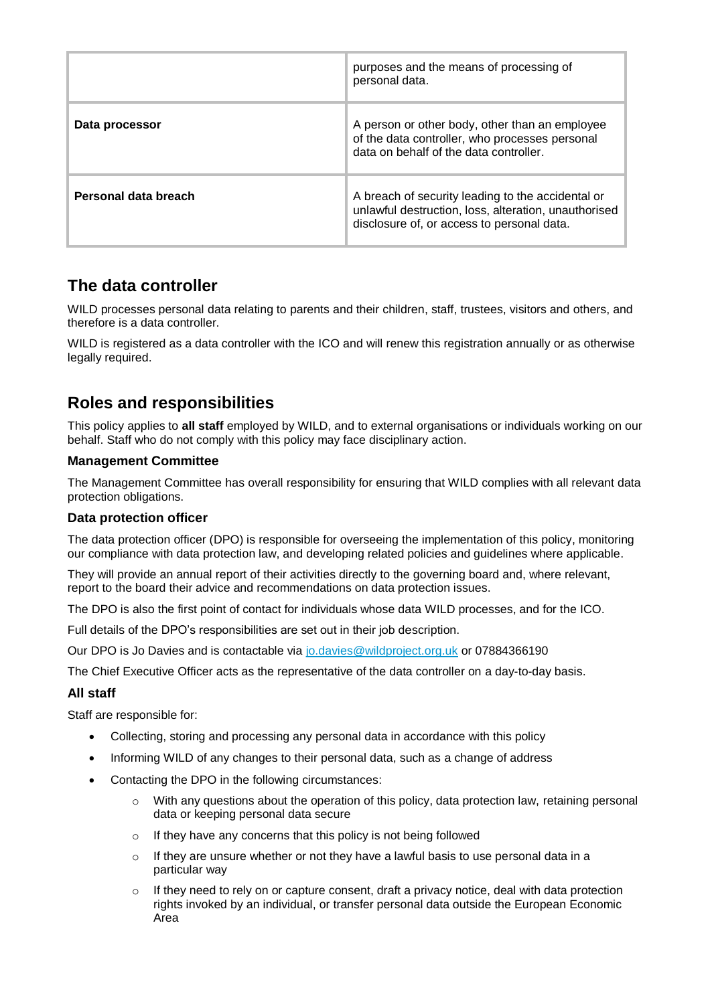|                      | purposes and the means of processing of<br>personal data.                                                                                               |
|----------------------|---------------------------------------------------------------------------------------------------------------------------------------------------------|
| Data processor       | A person or other body, other than an employee<br>of the data controller, who processes personal<br>data on behalf of the data controller.              |
| Personal data breach | A breach of security leading to the accidental or<br>unlawful destruction, loss, alteration, unauthorised<br>disclosure of, or access to personal data. |

### **The data controller**

WILD processes personal data relating to parents and their children, staff, trustees, visitors and others, and therefore is a data controller.

WILD is registered as a data controller with the ICO and will renew this registration annually or as otherwise legally required.

### **Roles and responsibilities**

This policy applies to **all staff** employed by WILD, and to external organisations or individuals working on our behalf. Staff who do not comply with this policy may face disciplinary action.

#### **Management Committee**

The Management Committee has overall responsibility for ensuring that WILD complies with all relevant data protection obligations.

#### **Data protection officer**

The data protection officer (DPO) is responsible for overseeing the implementation of this policy, monitoring our compliance with data protection law, and developing related policies and guidelines where applicable.

They will provide an annual report of their activities directly to the governing board and, where relevant, report to the board their advice and recommendations on data protection issues.

The DPO is also the first point of contact for individuals whose data WILD processes, and for the ICO.

Full details of the DPO's responsibilities are set out in their job description.

Our DPO is Jo Davies and is contactable via [jo.davies@wildproject.org.uk](mailto:jo.davies@wildproject.org.uk) or 07884366190

The Chief Executive Officer acts as the representative of the data controller on a day-to-day basis.

#### **All staff**

Staff are responsible for:

- Collecting, storing and processing any personal data in accordance with this policy
- Informing WILD of any changes to their personal data, such as a change of address
- Contacting the DPO in the following circumstances:
	- $\circ$  With any questions about the operation of this policy, data protection law, retaining personal data or keeping personal data secure
	- o If they have any concerns that this policy is not being followed
	- $\circ$  If they are unsure whether or not they have a lawful basis to use personal data in a particular way
	- $\circ$  If they need to rely on or capture consent, draft a privacy notice, deal with data protection rights invoked by an individual, or transfer personal data outside the European Economic Area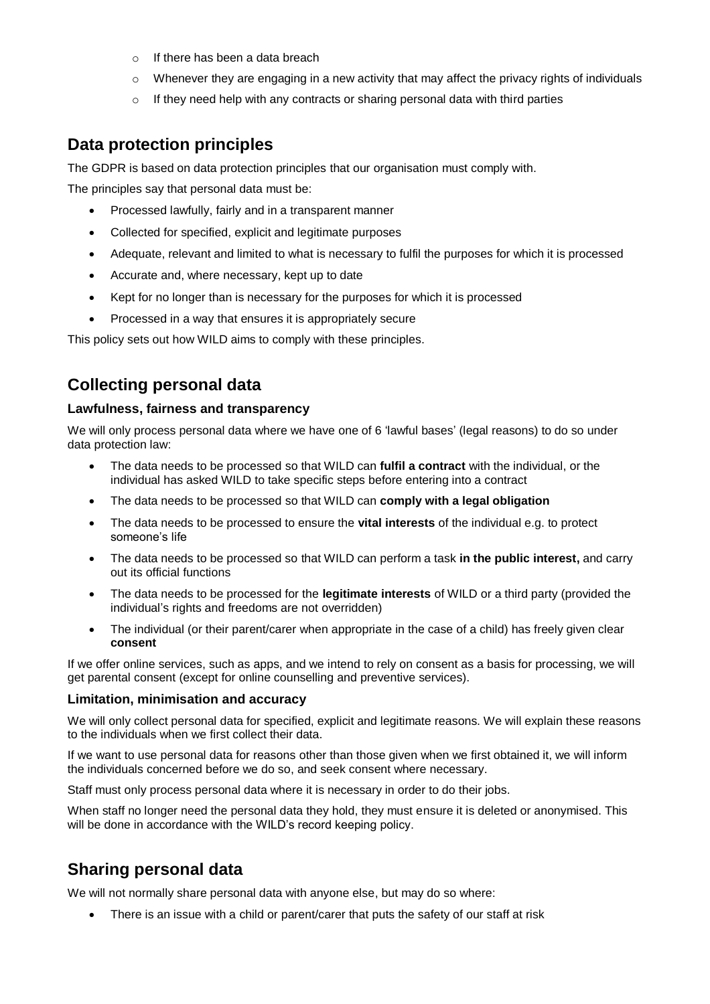- o If there has been a data breach
- $\circ$  Whenever they are engaging in a new activity that may affect the privacy rights of individuals
- $\circ$  If they need help with any contracts or sharing personal data with third parties

### **Data protection principles**

The GDPR is based on data protection principles that our organisation must comply with.

The principles say that personal data must be:

- Processed lawfully, fairly and in a transparent manner
- Collected for specified, explicit and legitimate purposes
- Adequate, relevant and limited to what is necessary to fulfil the purposes for which it is processed
- Accurate and, where necessary, kept up to date
- Kept for no longer than is necessary for the purposes for which it is processed
- Processed in a way that ensures it is appropriately secure

This policy sets out how WILD aims to comply with these principles.

### **Collecting personal data**

#### **Lawfulness, fairness and transparency**

We will only process personal data where we have one of 6 'lawful bases' (legal reasons) to do so under data protection law:

- The data needs to be processed so that WILD can **fulfil a contract** with the individual, or the individual has asked WILD to take specific steps before entering into a contract
- The data needs to be processed so that WILD can **comply with a legal obligation**
- The data needs to be processed to ensure the **vital interests** of the individual e.g. to protect someone's life
- The data needs to be processed so that WILD can perform a task **in the public interest,** and carry out its official functions
- The data needs to be processed for the **legitimate interests** of WILD or a third party (provided the individual's rights and freedoms are not overridden)
- The individual (or their parent/carer when appropriate in the case of a child) has freely given clear **consent**

If we offer online services, such as apps, and we intend to rely on consent as a basis for processing, we will get parental consent (except for online counselling and preventive services).

#### **Limitation, minimisation and accuracy**

We will only collect personal data for specified, explicit and legitimate reasons. We will explain these reasons to the individuals when we first collect their data.

If we want to use personal data for reasons other than those given when we first obtained it, we will inform the individuals concerned before we do so, and seek consent where necessary.

Staff must only process personal data where it is necessary in order to do their jobs.

When staff no longer need the personal data they hold, they must ensure it is deleted or anonymised. This will be done in accordance with the WILD's record keeping policy.

### **Sharing personal data**

We will not normally share personal data with anyone else, but may do so where:

There is an issue with a child or parent/carer that puts the safety of our staff at risk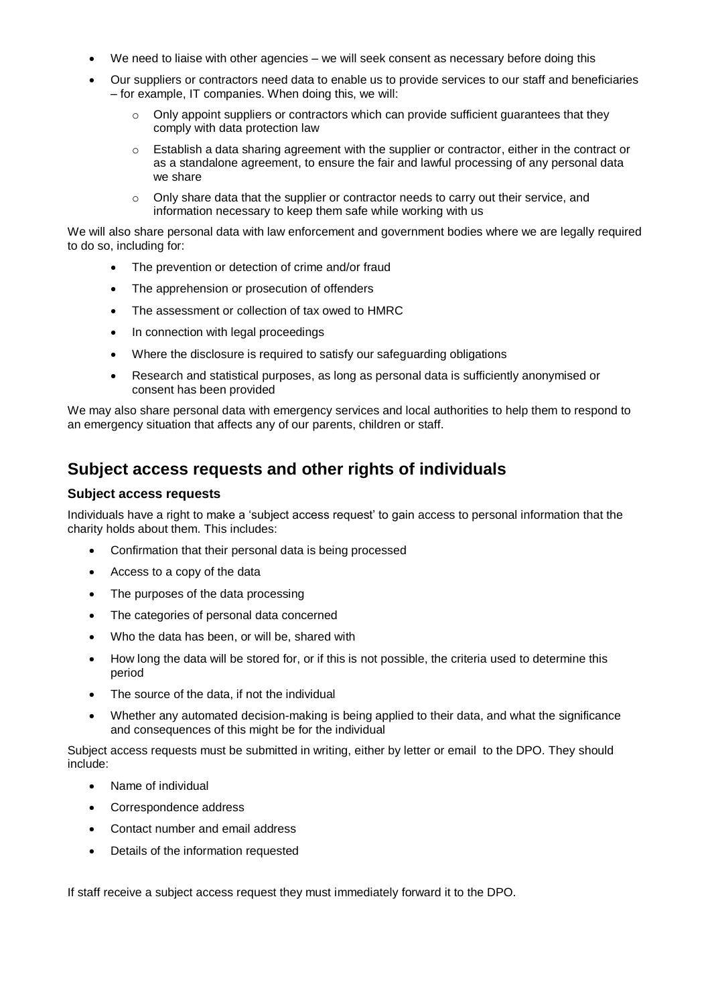- We need to liaise with other agencies we will seek consent as necessary before doing this
- Our suppliers or contractors need data to enable us to provide services to our staff and beneficiaries – for example, IT companies. When doing this, we will:
	- $\circ$  Only appoint suppliers or contractors which can provide sufficient quarantees that they comply with data protection law
	- o Establish a data sharing agreement with the supplier or contractor, either in the contract or as a standalone agreement, to ensure the fair and lawful processing of any personal data we share
	- $\circ$  Only share data that the supplier or contractor needs to carry out their service, and information necessary to keep them safe while working with us

We will also share personal data with law enforcement and government bodies where we are legally required to do so, including for:

- The prevention or detection of crime and/or fraud
- The apprehension or prosecution of offenders
- The assessment or collection of tax owed to HMRC
- In connection with legal proceedings
- Where the disclosure is required to satisfy our safeguarding obligations
- Research and statistical purposes, as long as personal data is sufficiently anonymised or consent has been provided

We may also share personal data with emergency services and local authorities to help them to respond to an emergency situation that affects any of our parents, children or staff.

### **Subject access requests and other rights of individuals**

#### **Subject access requests**

Individuals have a right to make a 'subject access request' to gain access to personal information that the charity holds about them. This includes:

- Confirmation that their personal data is being processed
- Access to a copy of the data
- The purposes of the data processing
- The categories of personal data concerned
- Who the data has been, or will be, shared with
- How long the data will be stored for, or if this is not possible, the criteria used to determine this period
- The source of the data, if not the individual
- Whether any automated decision-making is being applied to their data, and what the significance and consequences of this might be for the individual

Subject access requests must be submitted in writing, either by letter or email to the DPO. They should include:

- Name of individual
- Correspondence address
- Contact number and email address
- Details of the information requested

If staff receive a subject access request they must immediately forward it to the DPO.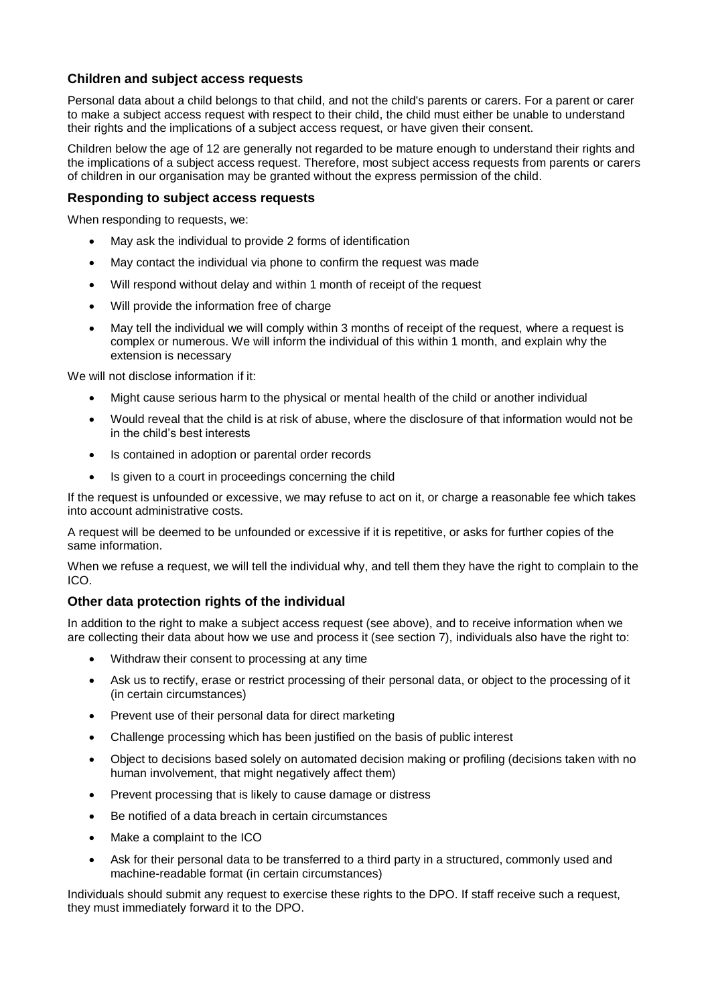#### **Children and subject access requests**

Personal data about a child belongs to that child, and not the child's parents or carers. For a parent or carer to make a subject access request with respect to their child, the child must either be unable to understand their rights and the implications of a subject access request, or have given their consent.

Children below the age of 12 are generally not regarded to be mature enough to understand their rights and the implications of a subject access request. Therefore, most subject access requests from parents or carers of children in our organisation may be granted without the express permission of the child.

#### **Responding to subject access requests**

When responding to requests, we:

- May ask the individual to provide 2 forms of identification
- May contact the individual via phone to confirm the request was made
- Will respond without delay and within 1 month of receipt of the request
- Will provide the information free of charge
- May tell the individual we will comply within 3 months of receipt of the request, where a request is complex or numerous. We will inform the individual of this within 1 month, and explain why the extension is necessary

We will not disclose information if it:

- Might cause serious harm to the physical or mental health of the child or another individual
- Would reveal that the child is at risk of abuse, where the disclosure of that information would not be in the child's best interests
- Is contained in adoption or parental order records
- Is given to a court in proceedings concerning the child

If the request is unfounded or excessive, we may refuse to act on it, or charge a reasonable fee which takes into account administrative costs.

A request will be deemed to be unfounded or excessive if it is repetitive, or asks for further copies of the same information.

When we refuse a request, we will tell the individual why, and tell them they have the right to complain to the ICO.

#### **Other data protection rights of the individual**

In addition to the right to make a subject access request (see above), and to receive information when we are collecting their data about how we use and process it (see section 7), individuals also have the right to:

- Withdraw their consent to processing at any time
- Ask us to rectify, erase or restrict processing of their personal data, or object to the processing of it (in certain circumstances)
- Prevent use of their personal data for direct marketing
- Challenge processing which has been justified on the basis of public interest
- Object to decisions based solely on automated decision making or profiling (decisions taken with no human involvement, that might negatively affect them)
- Prevent processing that is likely to cause damage or distress
- Be notified of a data breach in certain circumstances
- Make a complaint to the ICO
- Ask for their personal data to be transferred to a third party in a structured, commonly used and machine-readable format (in certain circumstances)

Individuals should submit any request to exercise these rights to the DPO. If staff receive such a request, they must immediately forward it to the DPO.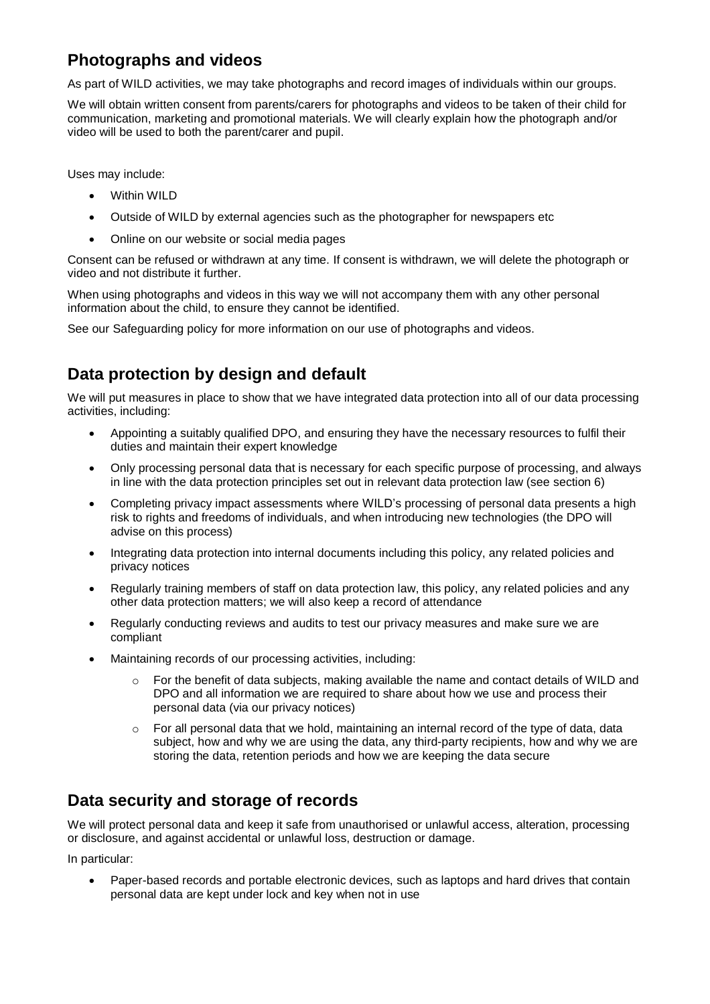### **Photographs and videos**

As part of WILD activities, we may take photographs and record images of individuals within our groups.

We will obtain written consent from parents/carers for photographs and videos to be taken of their child for communication, marketing and promotional materials. We will clearly explain how the photograph and/or video will be used to both the parent/carer and pupil.

Uses may include:

- Within WILD
- Outside of WILD by external agencies such as the photographer for newspapers etc
- Online on our website or social media pages

Consent can be refused or withdrawn at any time. If consent is withdrawn, we will delete the photograph or video and not distribute it further.

When using photographs and videos in this way we will not accompany them with any other personal information about the child, to ensure they cannot be identified.

See our Safeguarding policy for more information on our use of photographs and videos.

### **Data protection by design and default**

We will put measures in place to show that we have integrated data protection into all of our data processing activities, including:

- Appointing a suitably qualified DPO, and ensuring they have the necessary resources to fulfil their duties and maintain their expert knowledge
- Only processing personal data that is necessary for each specific purpose of processing, and always in line with the data protection principles set out in relevant data protection law (see section 6)
- Completing privacy impact assessments where WILD's processing of personal data presents a high risk to rights and freedoms of individuals, and when introducing new technologies (the DPO will advise on this process)
- Integrating data protection into internal documents including this policy, any related policies and privacy notices
- Regularly training members of staff on data protection law, this policy, any related policies and any other data protection matters; we will also keep a record of attendance
- Regularly conducting reviews and audits to test our privacy measures and make sure we are compliant
- Maintaining records of our processing activities, including:
	- For the benefit of data subjects, making available the name and contact details of WILD and DPO and all information we are required to share about how we use and process their personal data (via our privacy notices)
	- $\circ$  For all personal data that we hold, maintaining an internal record of the type of data, data subject, how and why we are using the data, any third-party recipients, how and why we are storing the data, retention periods and how we are keeping the data secure

### **Data security and storage of records**

We will protect personal data and keep it safe from unauthorised or unlawful access, alteration, processing or disclosure, and against accidental or unlawful loss, destruction or damage.

In particular:

 Paper-based records and portable electronic devices, such as laptops and hard drives that contain personal data are kept under lock and key when not in use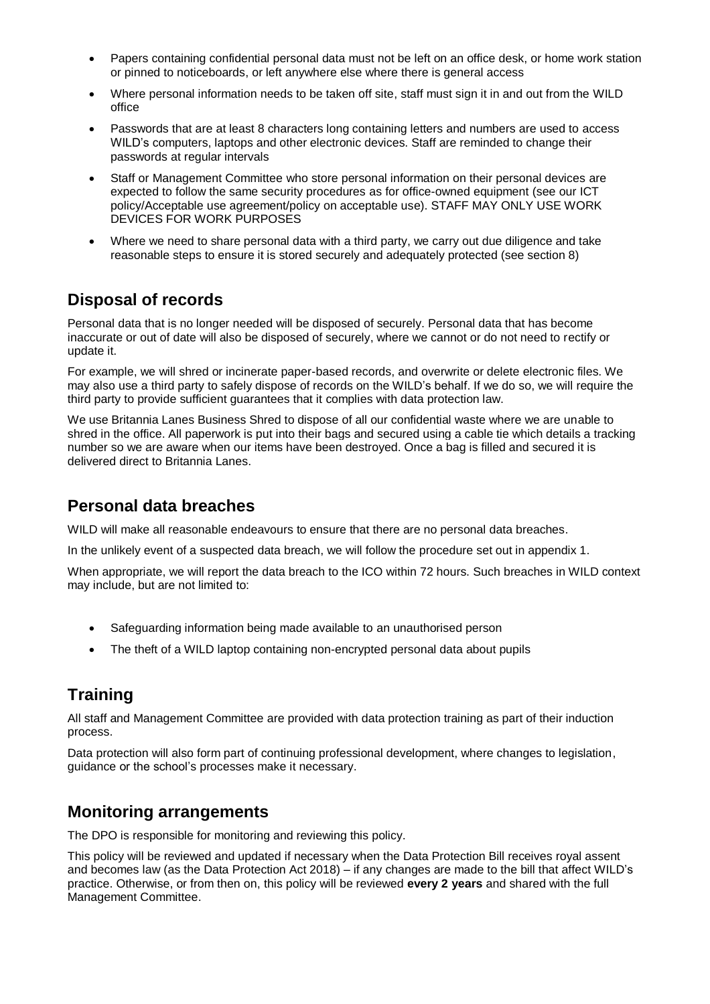- Papers containing confidential personal data must not be left on an office desk, or home work station or pinned to noticeboards, or left anywhere else where there is general access
- Where personal information needs to be taken off site, staff must sign it in and out from the WILD office
- Passwords that are at least 8 characters long containing letters and numbers are used to access WILD's computers, laptops and other electronic devices. Staff are reminded to change their passwords at regular intervals
- Staff or Management Committee who store personal information on their personal devices are expected to follow the same security procedures as for office-owned equipment (see our ICT policy/Acceptable use agreement/policy on acceptable use). STAFF MAY ONLY USE WORK DEVICES FOR WORK PURPOSES
- Where we need to share personal data with a third party, we carry out due diligence and take reasonable steps to ensure it is stored securely and adequately protected (see section 8)

### **Disposal of records**

Personal data that is no longer needed will be disposed of securely. Personal data that has become inaccurate or out of date will also be disposed of securely, where we cannot or do not need to rectify or update it.

For example, we will shred or incinerate paper-based records, and overwrite or delete electronic files. We may also use a third party to safely dispose of records on the WILD's behalf. If we do so, we will require the third party to provide sufficient guarantees that it complies with data protection law.

We use Britannia Lanes Business Shred to dispose of all our confidential waste where we are unable to shred in the office. All paperwork is put into their bags and secured using a cable tie which details a tracking number so we are aware when our items have been destroyed. Once a bag is filled and secured it is delivered direct to Britannia Lanes.

### **Personal data breaches**

WILD will make all reasonable endeavours to ensure that there are no personal data breaches.

In the unlikely event of a suspected data breach, we will follow the procedure set out in appendix 1.

When appropriate, we will report the data breach to the ICO within 72 hours. Such breaches in WILD context may include, but are not limited to:

- Safeguarding information being made available to an unauthorised person
- The theft of a WILD laptop containing non-encrypted personal data about pupils

### **Training**

All staff and Management Committee are provided with data protection training as part of their induction process.

Data protection will also form part of continuing professional development, where changes to legislation, guidance or the school's processes make it necessary.

### **Monitoring arrangements**

The DPO is responsible for monitoring and reviewing this policy.

This policy will be reviewed and updated if necessary when the Data Protection Bill receives royal assent and becomes law (as the Data Protection Act 2018) – if any changes are made to the bill that affect WILD's practice. Otherwise, or from then on, this policy will be reviewed **every 2 years** and shared with the full Management Committee.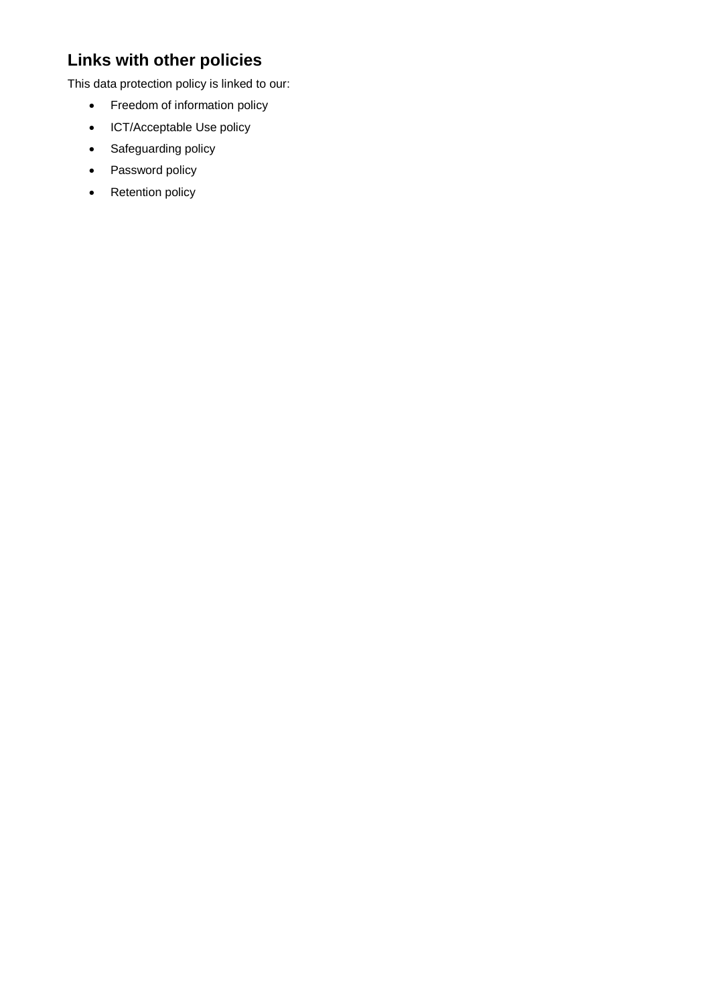## **Links with other policies**

This data protection policy is linked to our:

- Freedom of information policy
- ICT/Acceptable Use policy
- Safeguarding policy
- Password policy
- Retention policy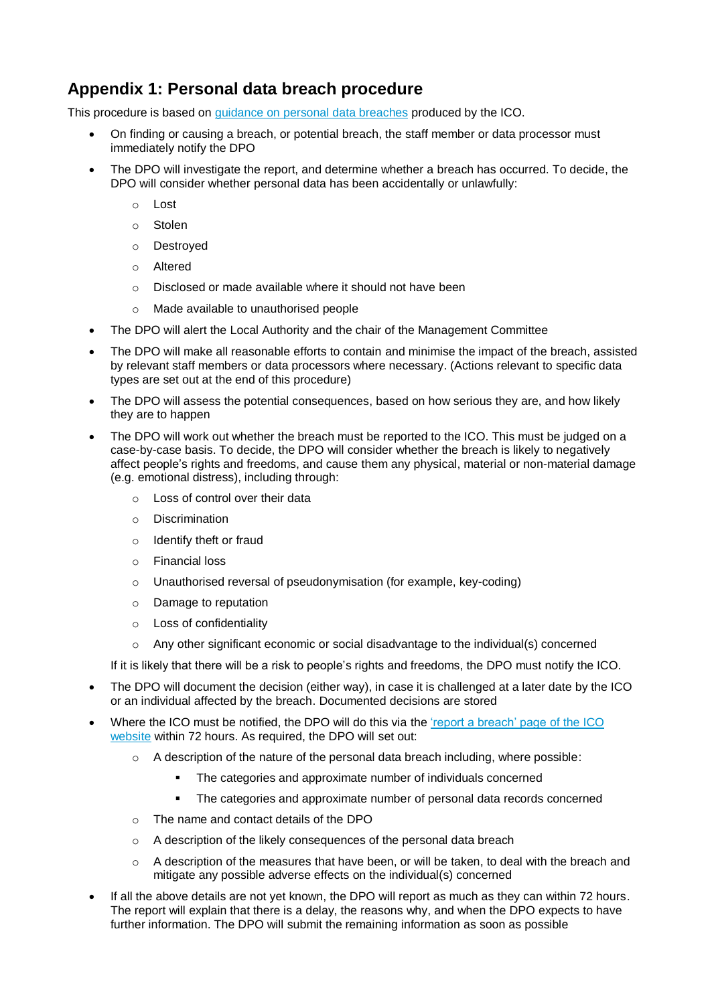### **Appendix 1: Personal data breach procedure**

This procedure is based on [guidance on personal data breaches](https://ico.org.uk/for-organisations/guide-to-the-general-data-protection-regulation-gdpr/personal-data-breaches/) produced by the ICO.

- On finding or causing a breach, or potential breach, the staff member or data processor must immediately notify the DPO
- The DPO will investigate the report, and determine whether a breach has occurred. To decide, the DPO will consider whether personal data has been accidentally or unlawfully:
	- o Lost
	- o Stolen
	- o Destroyed
	- o Altered
	- o Disclosed or made available where it should not have been
	- o Made available to unauthorised people
- The DPO will alert the Local Authority and the chair of the Management Committee
- The DPO will make all reasonable efforts to contain and minimise the impact of the breach, assisted by relevant staff members or data processors where necessary. (Actions relevant to specific data types are set out at the end of this procedure)
- The DPO will assess the potential consequences, based on how serious they are, and how likely they are to happen
- The DPO will work out whether the breach must be reported to the ICO. This must be judged on a case-by-case basis. To decide, the DPO will consider whether the breach is likely to negatively affect people's rights and freedoms, and cause them any physical, material or non-material damage (e.g. emotional distress), including through:
	- o Loss of control over their data
	- o Discrimination
	- o Identify theft or fraud
	- o Financial loss
	- o Unauthorised reversal of pseudonymisation (for example, key-coding)
	- o Damage to reputation
	- o Loss of confidentiality
	- $\circ$  Any other significant economic or social disadvantage to the individual(s) concerned

If it is likely that there will be a risk to people's rights and freedoms, the DPO must notify the ICO.

- The DPO will document the decision (either way), in case it is challenged at a later date by the ICO or an individual affected by the breach. Documented decisions are stored
- Where the ICO must be notified, the DPO will do this via the ['report a breach' page](https://ico.org.uk/for-organisations/report-a-breach/) of the ICO [website](https://ico.org.uk/for-organisations/report-a-breach/) within 72 hours. As required, the DPO will set out:
	- $\circ$  A description of the nature of the personal data breach including, where possible:
		- The categories and approximate number of individuals concerned
		- **The categories and approximate number of personal data records concerned**
	- o The name and contact details of the DPO
	- o A description of the likely consequences of the personal data breach
	- $\circ$  A description of the measures that have been, or will be taken, to deal with the breach and mitigate any possible adverse effects on the individual(s) concerned
- If all the above details are not yet known, the DPO will report as much as they can within 72 hours. The report will explain that there is a delay, the reasons why, and when the DPO expects to have further information. The DPO will submit the remaining information as soon as possible